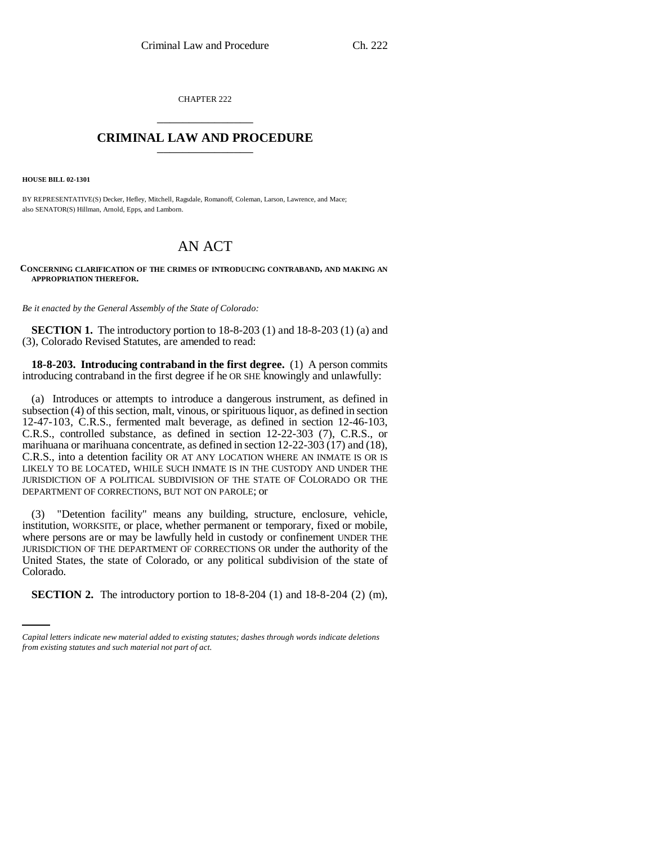CHAPTER 222 \_\_\_\_\_\_\_\_\_\_\_\_\_\_\_

## **CRIMINAL LAW AND PROCEDURE** \_\_\_\_\_\_\_\_\_\_\_\_\_\_\_

**HOUSE BILL 02-1301**

BY REPRESENTATIVE(S) Decker, Hefley, Mitchell, Ragsdale, Romanoff, Coleman, Larson, Lawrence, and Mace; also SENATOR(S) Hillman, Arnold, Epps, and Lamborn.

## AN ACT

## **CONCERNING CLARIFICATION OF THE CRIMES OF INTRODUCING CONTRABAND, AND MAKING AN APPROPRIATION THEREFOR.**

*Be it enacted by the General Assembly of the State of Colorado:*

**SECTION 1.** The introductory portion to 18-8-203 (1) and 18-8-203 (1) (a) and (3), Colorado Revised Statutes, are amended to read:

**18-8-203. Introducing contraband in the first degree.** (1) A person commits introducing contraband in the first degree if he OR SHE knowingly and unlawfully:

(a) Introduces or attempts to introduce a dangerous instrument, as defined in subsection (4) of this section, malt, vinous, or spirituous liquor, as defined in section 12-47-103, C.R.S., fermented malt beverage, as defined in section 12-46-103, C.R.S., controlled substance, as defined in section 12-22-303 (7), C.R.S., or marihuana or marihuana concentrate, as defined in section 12-22-303 (17) and (18), C.R.S., into a detention facility OR AT ANY LOCATION WHERE AN INMATE IS OR IS LIKELY TO BE LOCATED, WHILE SUCH INMATE IS IN THE CUSTODY AND UNDER THE JURISDICTION OF A POLITICAL SUBDIVISION OF THE STATE OF COLORADO OR THE DEPARTMENT OF CORRECTIONS, BUT NOT ON PAROLE; or

Colorado. (3) "Detention facility" means any building, structure, enclosure, vehicle, institution, WORKSITE, or place, whether permanent or temporary, fixed or mobile, where persons are or may be lawfully held in custody or confinement UNDER THE JURISDICTION OF THE DEPARTMENT OF CORRECTIONS OR under the authority of the United States, the state of Colorado, or any political subdivision of the state of

**SECTION 2.** The introductory portion to 18-8-204 (1) and 18-8-204 (2) (m),

*Capital letters indicate new material added to existing statutes; dashes through words indicate deletions from existing statutes and such material not part of act.*